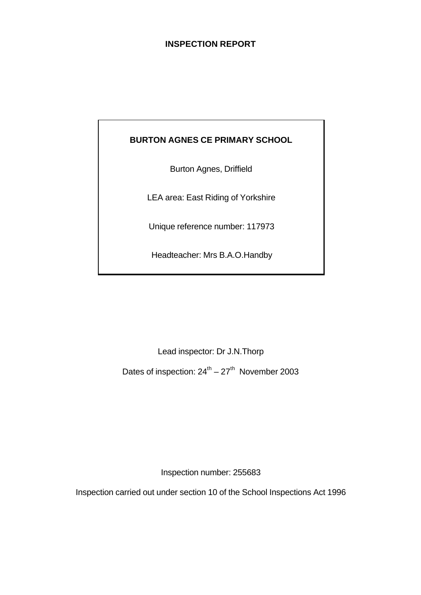# **INSPECTION REPORT**

# **BURTON AGNES CE PRIMARY SCHOOL**

Burton Agnes, Driffield

LEA area: East Riding of Yorkshire

Unique reference number: 117973

Headteacher: Mrs B.A.O.Handby

Lead inspector: Dr J.N.Thorp

Dates of inspection:  $24^{th} - 27^{th}$  November 2003

Inspection number: 255683

Inspection carried out under section 10 of the School Inspections Act 1996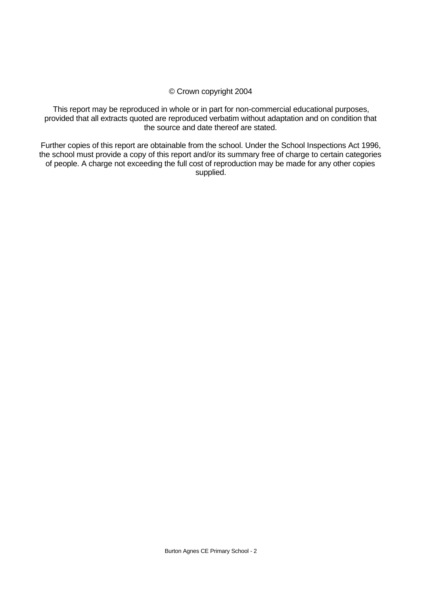#### © Crown copyright 2004

This report may be reproduced in whole or in part for non-commercial educational purposes, provided that all extracts quoted are reproduced verbatim without adaptation and on condition that the source and date thereof are stated.

Further copies of this report are obtainable from the school. Under the School Inspections Act 1996, the school must provide a copy of this report and/or its summary free of charge to certain categories of people. A charge not exceeding the full cost of reproduction may be made for any other copies supplied.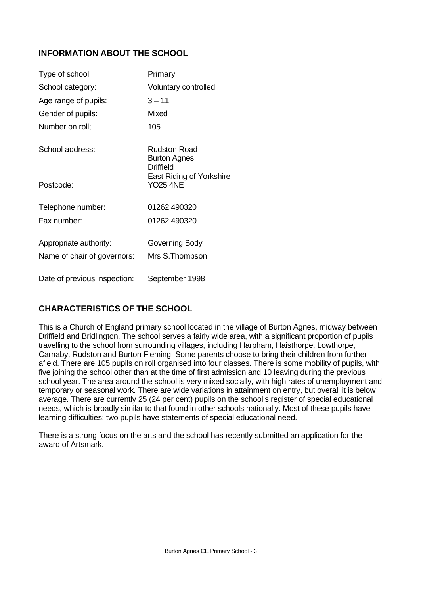# **INFORMATION ABOUT THE SCHOOL**

| Type of school:              | Primary                                                        |
|------------------------------|----------------------------------------------------------------|
| School category:             | <b>Voluntary controlled</b>                                    |
| Age range of pupils:         | $3 - 11$                                                       |
| Gender of pupils:            | Mixed                                                          |
| Number on roll;              | 105                                                            |
| School address:              | <b>Rudston Road</b><br><b>Burton Agnes</b><br><b>Driffield</b> |
| Postcode:                    | <b>East Riding of Yorkshire</b><br><b>YO25 4NE</b>             |
| Telephone number:            | 01262 490320                                                   |
| Fax number:                  | 01262 490320                                                   |
| Appropriate authority:       | Governing Body                                                 |
| Name of chair of governors:  | Mrs S.Thompson                                                 |
| Date of previous inspection: | September 1998                                                 |

# **CHARACTERISTICS OF THE SCHOOL**

This is a Church of England primary school located in the village of Burton Agnes, midway between Driffield and Bridlington. The school serves a fairly wide area, with a significant proportion of pupils travelling to the school from surrounding villages, including Harpham, Haisthorpe, Lowthorpe, Carnaby, Rudston and Burton Fleming. Some parents choose to bring their children from further afield. There are 105 pupils on roll organised into four classes. There is some mobility of pupils, with five joining the school other than at the time of first admission and 10 leaving during the previous school year. The area around the school is very mixed socially, with high rates of unemployment and temporary or seasonal work. There are wide variations in attainment on entry, but overall it is below average. There are currently 25 (24 per cent) pupils on the school's register of special educational needs, which is broadly similar to that found in other schools nationally. Most of these pupils have learning difficulties; two pupils have statements of special educational need.

There is a strong focus on the arts and the school has recently submitted an application for the award of Artsmark.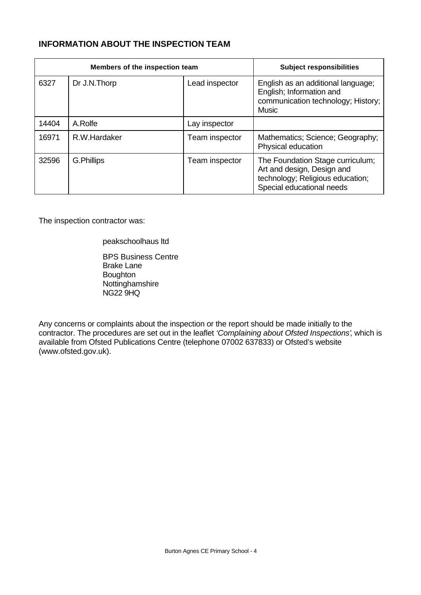# **INFORMATION ABOUT THE INSPECTION TEAM**

| Members of the inspection team |                   |                | <b>Subject responsibilities</b>                                                                                                 |
|--------------------------------|-------------------|----------------|---------------------------------------------------------------------------------------------------------------------------------|
| 6327                           | Dr J.N.Thorp      | Lead inspector | English as an additional language;<br>English; Information and<br>communication technology; History;<br><b>Music</b>            |
| 14404                          | A.Rolfe           | Lay inspector  |                                                                                                                                 |
| 16971                          | R.W.Hardaker      | Team inspector | Mathematics; Science; Geography;<br>Physical education                                                                          |
| 32596                          | <b>G.Phillips</b> | Team inspector | The Foundation Stage curriculum;<br>Art and design, Design and<br>technology; Religious education;<br>Special educational needs |

The inspection contractor was:

peakschoolhaus ltd

BPS Business Centre Brake Lane **Boughton** Nottinghamshire NG22 9HQ

Any concerns or complaints about the inspection or the report should be made initially to the contractor. The procedures are set out in the leaflet *'Complaining about Ofsted Inspections'*, which is available from Ofsted Publications Centre (telephone 07002 637833) or Ofsted's website (www.ofsted.gov.uk).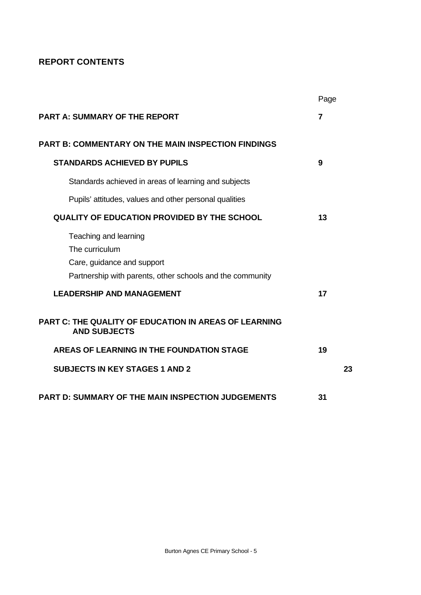# **REPORT CONTENTS**

|                                                                                                                                    | Page           |
|------------------------------------------------------------------------------------------------------------------------------------|----------------|
| <b>PART A: SUMMARY OF THE REPORT</b>                                                                                               | $\overline{7}$ |
| <b>PART B: COMMENTARY ON THE MAIN INSPECTION FINDINGS</b>                                                                          |                |
| <b>STANDARDS ACHIEVED BY PUPILS</b>                                                                                                | 9              |
| Standards achieved in areas of learning and subjects                                                                               |                |
| Pupils' attitudes, values and other personal qualities                                                                             |                |
| <b>QUALITY OF EDUCATION PROVIDED BY THE SCHOOL</b>                                                                                 | 13             |
| Teaching and learning<br>The curriculum<br>Care, guidance and support<br>Partnership with parents, other schools and the community |                |
| <b>LEADERSHIP AND MANAGEMENT</b>                                                                                                   | 17             |
| <b>PART C: THE QUALITY OF EDUCATION IN AREAS OF LEARNING</b><br><b>AND SUBJECTS</b>                                                |                |
| AREAS OF LEARNING IN THE FOUNDATION STAGE                                                                                          | 19             |
| <b>SUBJECTS IN KEY STAGES 1 AND 2</b>                                                                                              | 23             |
| PART D: SUMMARY OF THE MAIN INSPECTION JUDGEMENTS                                                                                  | 31             |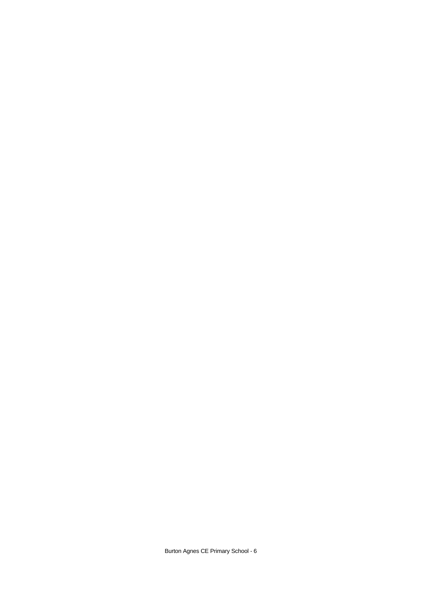Burton Agnes CE Primary School - 6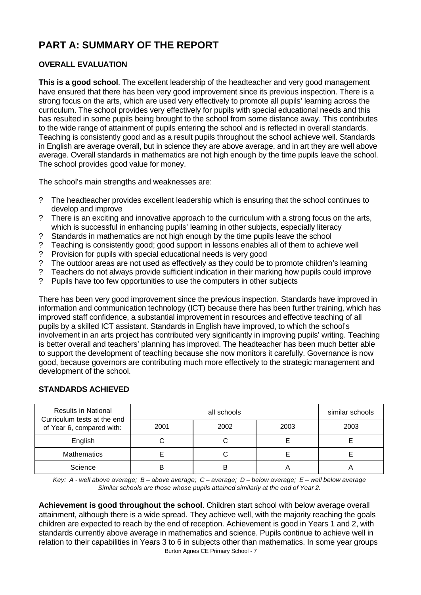# **PART A: SUMMARY OF THE REPORT**

# **OVERALL EVALUATION**

**This is a good school**. The excellent leadership of the headteacher and very good management have ensured that there has been very good improvement since its previous inspection. There is a strong focus on the arts, which are used very effectively to promote all pupils' learning across the curriculum. The school provides very effectively for pupils with special educational needs and this has resulted in some pupils being brought to the school from some distance away. This contributes to the wide range of attainment of pupils entering the school and is reflected in overall standards. Teaching is consistently good and as a result pupils throughout the school achieve well. Standards in English are average overall, but in science they are above average, and in art they are well above average. Overall standards in mathematics are not high enough by the time pupils leave the school. The school provides good value for money.

The school's main strengths and weaknesses are:

- ? The headteacher provides excellent leadership which is ensuring that the school continues to develop and improve
- ? There is an exciting and innovative approach to the curriculum with a strong focus on the arts, which is successful in enhancing pupils' learning in other subjects, especially literacy
- ? Standards in mathematics are not high enough by the time pupils leave the school
- ? Teaching is consistently good; good support in lessons enables all of them to achieve well
- ? Provision for pupils with special educational needs is very good
- ? The outdoor areas are not used as effectively as they could be to promote children's learning
- ? Teachers do not always provide sufficient indication in their marking how pupils could improve
- ? Pupils have too few opportunities to use the computers in other subjects

There has been very good improvement since the previous inspection. Standards have improved in information and communication technology (ICT) because there has been further training, which has improved staff confidence, a substantial improvement in resources and effective teaching of all pupils by a skilled ICT assistant. Standards in English have improved, to which the school's involvement in an arts project has contributed very significantly in improving pupils' writing. Teaching is better overall and teachers' planning has improved. The headteacher has been much better able to support the development of teaching because she now monitors it carefully. Governance is now good, because governors are contributing much more effectively to the strategic management and development of the school.

# **STANDARDS ACHIEVED**

| <b>Results in National</b><br>Curriculum tests at the end |      | similar schools |      |      |
|-----------------------------------------------------------|------|-----------------|------|------|
| of Year 6, compared with:                                 | 2001 | 2002            | 2003 | 2003 |
| English                                                   |      |                 |      |      |
| <b>Mathematics</b>                                        |      |                 |      |      |
| Science                                                   |      |                 |      |      |

*Key: A - well above average; B – above average; C – average; D – below average; E – well below average Similar schools are those whose pupils attained similarly at the end of Year 2.*

Burton Agnes CE Primary School - 7 **Achievement is good throughout the school**. Children start school with below average overall attainment, although there is a wide spread. They achieve well, with the majority reaching the goals children are expected to reach by the end of reception. Achievement is good in Years 1 and 2, with standards currently above average in mathematics and science. Pupils continue to achieve well in relation to their capabilities in Years 3 to 6 in subjects other than mathematics. In some year groups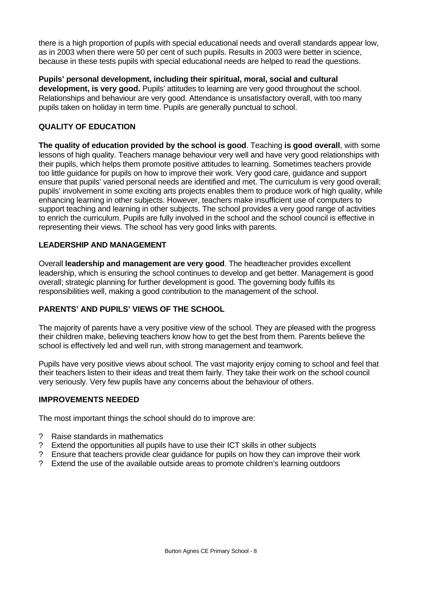there is a high proportion of pupils with special educational needs and overall standards appear low, as in 2003 when there were 50 per cent of such pupils. Results in 2003 were better in science, because in these tests pupils with special educational needs are helped to read the questions.

**Pupils' personal development, including their spiritual, moral, social and cultural development, is very good.** Pupils' attitudes to learning are very good throughout the school. Relationships and behaviour are very good. Attendance is unsatisfactory overall, with too many pupils taken on holiday in term time. Pupils are generally punctual to school.

#### **QUALITY OF EDUCATION**

**The quality of education provided by the school is good**. Teaching **is good overall**, with some lessons of high quality. Teachers manage behaviour very well and have very good relationships with their pupils, which helps them promote positive attitudes to learning. Sometimes teachers provide too little guidance for pupils on how to improve their work. Very good care, guidance and support ensure that pupils' varied personal needs are identified and met. The curriculum is very good overall; pupils' involvement in some exciting arts projects enables them to produce work of high quality, while enhancing learning in other subjects. However, teachers make insufficient use of computers to support teaching and learning in other subjects. The school provides a very good range of activities to enrich the curriculum. Pupils are fully involved in the school and the school council is effective in representing their views. The school has very good links with parents.

#### **LEADERSHIP AND MANAGEMENT**

Overall **leadership and management are very good**. The headteacher provides excellent leadership, which is ensuring the school continues to develop and get better. Management is good overall; strategic planning for further development is good. The governing body fulfils its responsibilities well, making a good contribution to the management of the school.

#### **PARENTS' AND PUPILS' VIEWS OF THE SCHOOL**

The majority of parents have a very positive view of the school. They are pleased with the progress their children make, believing teachers know how to get the best from them. Parents believe the school is effectively led and well run, with strong management and teamwork.

Pupils have very positive views about school. The vast majority enjoy coming to school and feel that their teachers listen to their ideas and treat them fairly. They take their work on the school council very seriously. Very few pupils have any concerns about the behaviour of others.

#### **IMPROVEMENTS NEEDED**

The most important things the school should do to improve are:

- ? Raise standards in mathematics
- ? Extend the opportunities all pupils have to use their ICT skills in other subjects
- ? Ensure that teachers provide clear guidance for pupils on how they can improve their work
- ? Extend the use of the available outside areas to promote children's learning outdoors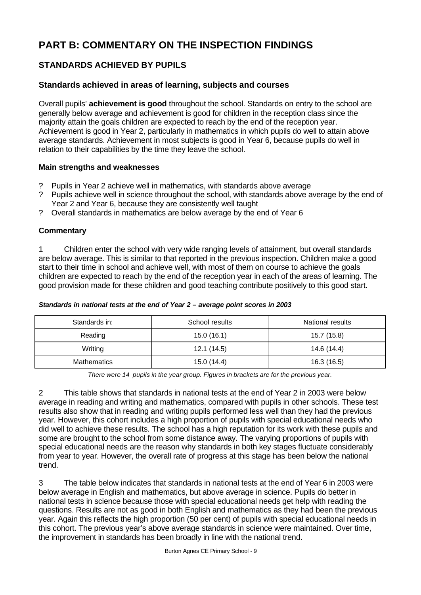# **PART B: COMMENTARY ON THE INSPECTION FINDINGS**

# **STANDARDS ACHIEVED BY PUPILS**

## **Standards achieved in areas of learning, subjects and courses**

Overall pupils' **achievement is good** throughout the school. Standards on entry to the school are generally below average and achievement is good for children in the reception class since the majority attain the goals children are expected to reach by the end of the reception year. Achievement is good in Year 2, particularly in mathematics in which pupils do well to attain above average standards. Achievement in most subjects is good in Year 6, because pupils do well in relation to their capabilities by the time they leave the school.

#### **Main strengths and weaknesses**

- ? Pupils in Year 2 achieve well in mathematics, with standards above average
- ? Pupils achieve well in science throughout the school, with standards above average by the end of Year 2 and Year 6, because they are consistently well taught
- ? Overall standards in mathematics are below average by the end of Year 6

#### **Commentary**

1 Children enter the school with very wide ranging levels of attainment, but overall standards are below average. This is similar to that reported in the previous inspection. Children make a good start to their time in school and achieve well, with most of them on course to achieve the goals children are expected to reach by the end of the reception year in each of the areas of learning. The good provision made for these children and good teaching contribute positively to this good start.

| Standards in: | School results | National results |
|---------------|----------------|------------------|
| Reading       | 15.0(16.1)     | 15.7 (15.8)      |
| Writing       | 12.1(14.5)     | 14.6 (14.4)      |
| Mathematics   | 15.0 (14.4)    | 16.3 (16.5)      |

#### *Standards in national tests at the end of Year 2 – average point scores in 2003*

*There were 14 pupils in the year group. Figures in brackets are for the previous year.*

2 This table shows that standards in national tests at the end of Year 2 in 2003 were below average in reading and writing and mathematics, compared with pupils in other schools. These test results also show that in reading and writing pupils performed less well than they had the previous year. However, this cohort includes a high proportion of pupils with special educational needs who did well to achieve these results. The school has a high reputation for its work with these pupils and some are brought to the school from some distance away. The varying proportions of pupils with special educational needs are the reason why standards in both key stages fluctuate considerably from year to year. However, the overall rate of progress at this stage has been below the national trend.

3 The table below indicates that standards in national tests at the end of Year 6 in 2003 were below average in English and mathematics, but above average in science. Pupils do better in national tests in science because those with special educational needs get help with reading the questions. Results are not as good in both English and mathematics as they had been the previous year. Again this reflects the high proportion (50 per cent) of pupils with special educational needs in this cohort. The previous year's above average standards in science were maintained. Over time, the improvement in standards has been broadly in line with the national trend.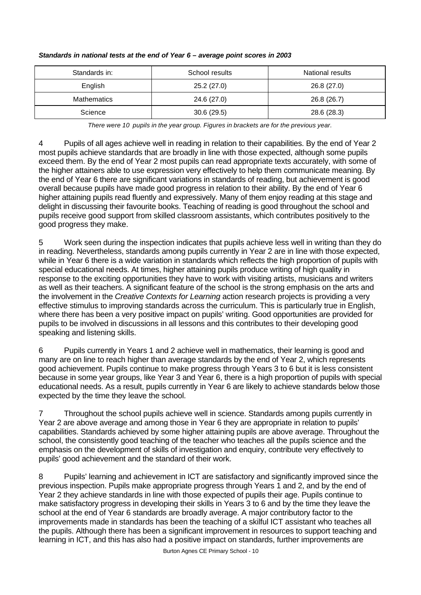| Standards in:      | School results | National results |
|--------------------|----------------|------------------|
| English            | 25.2(27.0)     | 26.8 (27.0)      |
| <b>Mathematics</b> | 24.6 (27.0)    | 26.8 (26.7)      |
| Science            | 30.6(29.5)     | 28.6 (28.3)      |

#### *Standards in national tests at the end of Year 6 – average point scores in 2003*

*There were 10 pupils in the year group. Figures in brackets are for the previous year.*

4 Pupils of all ages achieve well in reading in relation to their capabilities. By the end of Year 2 most pupils achieve standards that are broadly in line with those expected, although some pupils exceed them. By the end of Year 2 most pupils can read appropriate texts accurately, with some of the higher attainers able to use expression very effectively to help them communicate meaning. By the end of Year 6 there are significant variations in standards of reading, but achievement is good overall because pupils have made good progress in relation to their ability. By the end of Year 6 higher attaining pupils read fluently and expressively. Many of them enjoy reading at this stage and delight in discussing their favourite books. Teaching of reading is good throughout the school and pupils receive good support from skilled classroom assistants, which contributes positively to the good progress they make.

5 Work seen during the inspection indicates that pupils achieve less well in writing than they do in reading. Nevertheless, standards among pupils currently in Year 2 are in line with those expected, while in Year 6 there is a wide variation in standards which reflects the high proportion of pupils with special educational needs. At times, higher attaining pupils produce writing of high quality in response to the exciting opportunities they have to work with visiting artists, musicians and writers as well as their teachers. A significant feature of the school is the strong emphasis on the arts and the involvement in the *Creative Contexts for Learning* action research projects is providing a very effective stimulus to improving standards across the curriculum. This is particularly true in English, where there has been a very positive impact on pupils' writing. Good opportunities are provided for pupils to be involved in discussions in all lessons and this contributes to their developing good speaking and listening skills.

6 Pupils currently in Years 1 and 2 achieve well in mathematics, their learning is good and many are on line to reach higher than average standards by the end of Year 2, which represents good achievement. Pupils continue to make progress through Years 3 to 6 but it is less consistent because in some year groups, like Year 3 and Year 6, there is a high proportion of pupils with special educational needs. As a result, pupils currently in Year 6 are likely to achieve standards below those expected by the time they leave the school.

7 Throughout the school pupils achieve well in science. Standards among pupils currently in Year 2 are above average and among those in Year 6 they are appropriate in relation to pupils' capabilities. Standards achieved by some higher attaining pupils are above average. Throughout the school, the consistently good teaching of the teacher who teaches all the pupils science and the emphasis on the development of skills of investigation and enquiry, contribute very effectively to pupils' good achievement and the standard of their work.

8 Pupils' learning and achievement in ICT are satisfactory and significantly improved since the previous inspection. Pupils make appropriate progress through Years 1 and 2, and by the end of Year 2 they achieve standards in line with those expected of pupils their age. Pupils continue to make satisfactory progress in developing their skills in Years 3 to 6 and by the time they leave the school at the end of Year 6 standards are broadly average. A major contributory factor to the improvements made in standards has been the teaching of a skilful ICT assistant who teaches all the pupils. Although there has been a significant improvement in resources to support teaching and learning in ICT, and this has also had a positive impact on standards, further improvements are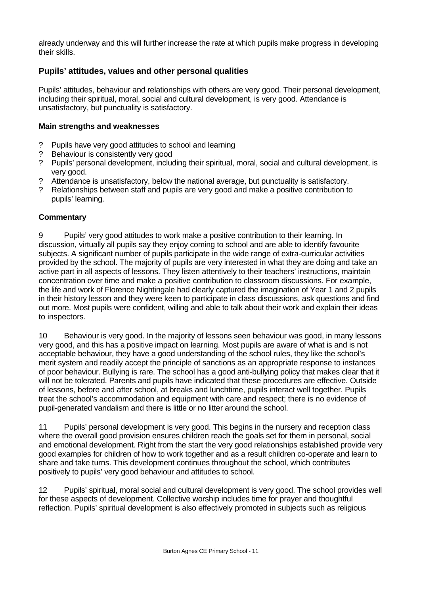already underway and this will further increase the rate at which pupils make progress in developing their skills.

# **Pupils' attitudes, values and other personal qualities**

Pupils' attitudes, behaviour and relationships with others are very good. Their personal development, including their spiritual, moral, social and cultural development, is very good. Attendance is unsatisfactory, but punctuality is satisfactory.

#### **Main strengths and weaknesses**

- ? Pupils have very good attitudes to school and learning
- ? Behaviour is consistently very good
- ? Pupils' personal development, including their spiritual, moral, social and cultural development, is very good.
- ? Attendance is unsatisfactory, below the national average, but punctuality is satisfactory.
- ? Relationships between staff and pupils are very good and make a positive contribution to pupils' learning.

#### **Commentary**

9 Pupils' very good attitudes to work make a positive contribution to their learning. In discussion, virtually all pupils say they enjoy coming to school and are able to identify favourite subjects. A significant number of pupils participate in the wide range of extra-curricular activities provided by the school. The majority of pupils are very interested in what they are doing and take an active part in all aspects of lessons. They listen attentively to their teachers' instructions, maintain concentration over time and make a positive contribution to classroom discussions. For example, the life and work of Florence Nightingale had clearly captured the imagination of Year 1 and 2 pupils in their history lesson and they were keen to participate in class discussions, ask questions and find out more. Most pupils were confident, willing and able to talk about their work and explain their ideas to inspectors.

10 Behaviour is very good. In the majority of lessons seen behaviour was good, in many lessons very good, and this has a positive impact on learning. Most pupils are aware of what is and is not acceptable behaviour, they have a good understanding of the school rules, they like the school's merit system and readily accept the principle of sanctions as an appropriate response to instances of poor behaviour. Bullying is rare. The school has a good anti-bullying policy that makes clear that it will not be tolerated. Parents and pupils have indicated that these procedures are effective. Outside of lessons, before and after school, at breaks and lunchtime, pupils interact well together. Pupils treat the school's accommodation and equipment with care and respect; there is no evidence of pupil-generated vandalism and there is little or no litter around the school.

11 Pupils' personal development is very good. This begins in the nursery and reception class where the overall good provision ensures children reach the goals set for them in personal, social and emotional development. Right from the start the very good relationships established provide very good examples for children of how to work together and as a result children co-operate and learn to share and take turns. This development continues throughout the school, which contributes positively to pupils' very good behaviour and attitudes to school.

12 Pupils' spiritual, moral social and cultural development is very good. The school provides well for these aspects of development. Collective worship includes time for prayer and thoughtful reflection. Pupils' spiritual development is also effectively promoted in subjects such as religious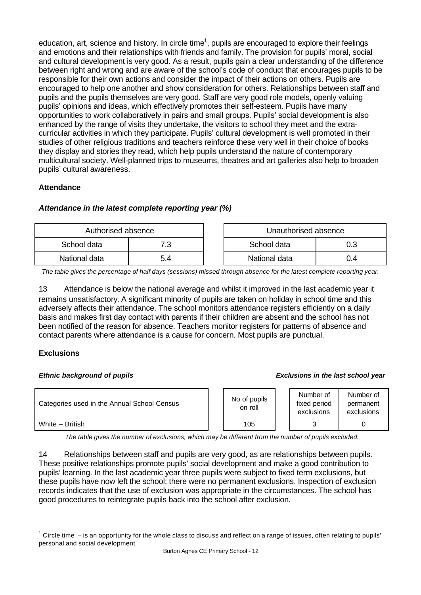education, art, science and history. In circle time<sup>1</sup>, pupils are encouraged to explore their feelings and emotions and their relationships with friends and family. The provision for pupils' moral, social and cultural development is very good. As a result, pupils gain a clear understanding of the difference between right and wrong and are aware of the school's code of conduct that encourages pupils to be responsible for their own actions and consider the impact of their actions on others. Pupils are encouraged to help one another and show consideration for others. Relationships between staff and pupils and the pupils themselves are very good. Staff are very good role models, openly valuing pupils' opinions and ideas, which effectively promotes their self-esteem. Pupils have many opportunities to work collaboratively in pairs and small groups. Pupils' social development is also enhanced by the range of visits they undertake, the visitors to school they meet and the extracurricular activities in which they participate. Pupils' cultural development is well promoted in their studies of other religious traditions and teachers reinforce these very well in their choice of books they display and stories they read, which help pupils understand the nature of contemporary multicultural society. Well-planned trips to museums, theatres and art galleries also help to broaden pupils' cultural awareness.

# **Attendance**

# *Attendance in the latest complete reporting year (%)*

| Authorised absence |     |  | Unauthorised absence |     |  |
|--------------------|-----|--|----------------------|-----|--|
| School data        |     |  | School data          |     |  |
| National data      | 5.4 |  | National data        | J.4 |  |

*The table gives the percentage of half days (sessions) missed through absence for the latest complete reporting year.*

13 Attendance is below the national average and whilst it improved in the last academic year it remains unsatisfactory. A significant minority of pupils are taken on holiday in school time and this adversely affects their attendance. The school monitors attendance registers efficiently on a daily basis and makes first day contact with parents if their children are absent and the school has not been notified of the reason for absence. Teachers monitor registers for patterns of absence and contact parents where attendance is a cause for concern. Most pupils are punctual.

# **Exclusions**

l

#### *Ethnic background of pupils Exclusions in the last school year*

| Categories used in the Annual School Census | No of pupils<br>on roll | Number of<br>fixed period<br>exclusions | Number of<br>permanent<br>exclusions |
|---------------------------------------------|-------------------------|-----------------------------------------|--------------------------------------|
| White - British                             | 105                     |                                         |                                      |

*The table gives the number of exclusions, which may be different from the number of pupils excluded.*

14 Relationships between staff and pupils are very good, as are relationships between pupils. These positive relationships promote pupils' social development and make a good contribution to pupils' learning. In the last academic year three pupils were subject to fixed term exclusions, but these pupils have now left the school; there were no permanent exclusions. Inspection of exclusion records indicates that the use of exclusion was appropriate in the circumstances. The school has good procedures to reintegrate pupils back into the school after exclusion.

 $1$  Circle time – is an opportunity for the whole class to discuss and reflect on a range of issues, often relating to pupils' personal and social development.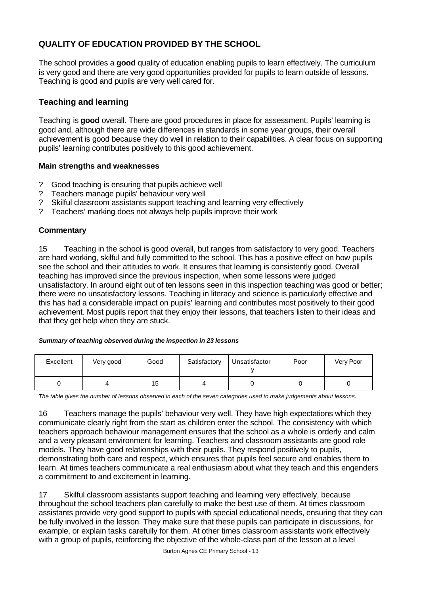# **QUALITY OF EDUCATION PROVIDED BY THE SCHOOL**

The school provides a **good** quality of education enabling pupils to learn effectively. The curriculum is very good and there are very good opportunities provided for pupils to learn outside of lessons. Teaching is good and pupils are very well cared for.

# **Teaching and learning**

Teaching is **good** overall. There are good procedures in place for assessment. Pupils' learning is good and, although there are wide differences in standards in some year groups, their overall achievement is good because they do well in relation to their capabilities. A clear focus on supporting pupils' learning contributes positively to this good achievement.

#### **Main strengths and weaknesses**

- ? Good teaching is ensuring that pupils achieve well
- ? Teachers manage pupils' behaviour very well
- ? Skilful classroom assistants support teaching and learning very effectively
- ? Teachers' marking does not always help pupils improve their work

#### **Commentary**

15 Teaching in the school is good overall, but ranges from satisfactory to very good. Teachers are hard working, skilful and fully committed to the school. This has a positive effect on how pupils see the school and their attitudes to work. It ensures that learning is consistently good. Overall teaching has improved since the previous inspection, when some lessons were judged unsatisfactory. In around eight out of ten lessons seen in this inspection teaching was good or better; there were no unsatisfactory lessons. Teaching in literacy and science is particularly effective and this has had a considerable impact on pupils' learning and contributes most positively to their good achievement. Most pupils report that they enjoy their lessons, that teachers listen to their ideas and that they get help when they are stuck.

#### *Summary of teaching observed during the inspection in 23 lessons*

| Excellent | Very good | Good | Satisfactory | Unsatisfactor | Poor | Very Poor |
|-----------|-----------|------|--------------|---------------|------|-----------|
|           |           | 15   |              |               |      |           |

*The table gives the number of lessons observed in each of the seven categories used to make judgements about lessons.*

16 Teachers manage the pupils' behaviour very well. They have high expectations which they communicate clearly right from the start as children enter the school. The consistency with which teachers approach behaviour management ensures that the school as a whole is orderly and calm and a very pleasant environment for learning. Teachers and classroom assistants are good role models. They have good relationships with their pupils. They respond positively to pupils, demonstrating both care and respect, which ensures that pupils feel secure and enables them to learn. At times teachers communicate a real enthusiasm about what they teach and this engenders a commitment to and excitement in learning.

17 Skilful classroom assistants support teaching and learning very effectively, because throughout the school teachers plan carefully to make the best use of them. At times classroom assistants provide very good support to pupils with special educational needs, ensuring that they can be fully involved in the lesson. They make sure that these pupils can participate in discussions, for example, or explain tasks carefully for them. At other times classroom assistants work effectively with a group of pupils, reinforcing the objective of the whole-class part of the lesson at a level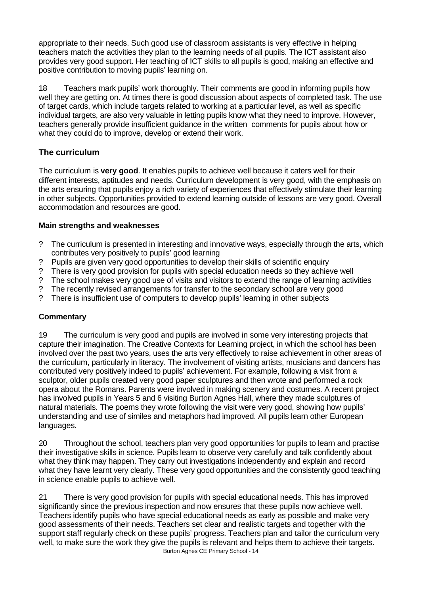appropriate to their needs. Such good use of classroom assistants is very effective in helping teachers match the activities they plan to the learning needs of all pupils. The ICT assistant also provides very good support. Her teaching of ICT skills to all pupils is good, making an effective and positive contribution to moving pupils' learning on.

18 Teachers mark pupils' work thoroughly. Their comments are good in informing pupils how well they are getting on. At times there is good discussion about aspects of completed task. The use of target cards, which include targets related to working at a particular level, as well as specific individual targets, are also very valuable in letting pupils know what they need to improve. However, teachers generally provide insufficient guidance in the written comments for pupils about how or what they could do to improve, develop or extend their work.

# **The curriculum**

The curriculum is **very good**. It enables pupils to achieve well because it caters well for their different interests, aptitudes and needs. Curriculum development is very good, with the emphasis on the arts ensuring that pupils enjoy a rich variety of experiences that effectively stimulate their learning in other subjects. Opportunities provided to extend learning outside of lessons are very good. Overall accommodation and resources are good.

#### **Main strengths and weaknesses**

- ? The curriculum is presented in interesting and innovative ways, especially through the arts, which contributes very positively to pupils' good learning
- ? Pupils are given very good opportunities to develop their skills of scientific enquiry
- ? There is very good provision for pupils with special education needs so they achieve well
- ? The school makes very good use of visits and visitors to extend the range of learning activities
- ? The recently revised arrangements for transfer to the secondary school are very good
- ? There is insufficient use of computers to develop pupils' learning in other subjects

#### **Commentary**

19 The curriculum is very good and pupils are involved in some very interesting projects that capture their imagination. The Creative Contexts for Learning project, in which the school has been involved over the past two years, uses the arts very effectively to raise achievement in other areas of the curriculum, particularly in literacy. The involvement of visiting artists, musicians and dancers has contributed very positively indeed to pupils' achievement. For example, following a visit from a sculptor, older pupils created very good paper sculptures and then wrote and performed a rock opera about the Romans. Parents were involved in making scenery and costumes. A recent project has involved pupils in Years 5 and 6 visiting Burton Agnes Hall, where they made sculptures of natural materials. The poems they wrote following the visit were very good, showing how pupils' understanding and use of similes and metaphors had improved. All pupils learn other European languages.

20 Throughout the school, teachers plan very good opportunities for pupils to learn and practise their investigative skills in science. Pupils learn to observe very carefully and talk confidently about what they think may happen. They carry out investigations independently and explain and record what they have learnt very clearly. These very good opportunities and the consistently good teaching in science enable pupils to achieve well.

Burton Agnes CE Primary School - 14 21 There is very good provision for pupils with special educational needs. This has improved significantly since the previous inspection and now ensures that these pupils now achieve well. Teachers identify pupils who have special educational needs as early as possible and make very good assessments of their needs. Teachers set clear and realistic targets and together with the support staff regularly check on these pupils' progress. Teachers plan and tailor the curriculum very well, to make sure the work they give the pupils is relevant and helps them to achieve their targets.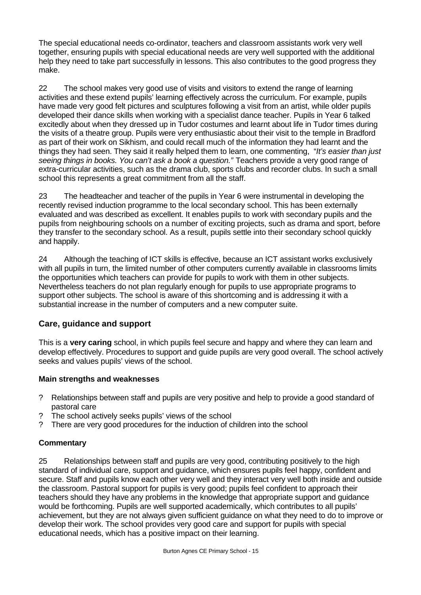The special educational needs co-ordinator, teachers and classroom assistants work very well together, ensuring pupils with special educational needs are very well supported with the additional help they need to take part successfully in lessons. This also contributes to the good progress they make.

22 The school makes very good use of visits and visitors to extend the range of learning activities and these extend pupils' learning effectively across the curriculum. For example, pupils have made very good felt pictures and sculptures following a visit from an artist, while older pupils developed their dance skills when working with a specialist dance teacher. Pupils in Year 6 talked excitedly about when they dressed up in Tudor costumes and learnt about life in Tudor times during the visits of a theatre group. Pupils were very enthusiastic about their visit to the temple in Bradford as part of their work on Sikhism, and could recall much of the information they had learnt and the things they had seen. They said it really helped them to learn, one commenting, "*It's easier than just seeing things in books. You can't ask a book a question."* Teachers provide a very good range of extra-curricular activities, such as the drama club, sports clubs and recorder clubs. In such a small school this represents a great commitment from all the staff.

23 The headteacher and teacher of the pupils in Year 6 were instrumental in developing the recently revised induction programme to the local secondary school. This has been externally evaluated and was described as excellent. It enables pupils to work with secondary pupils and the pupils from neighbouring schools on a number of exciting projects, such as drama and sport, before they transfer to the secondary school. As a result, pupils settle into their secondary school quickly and happily.

24 Although the teaching of ICT skills is effective, because an ICT assistant works exclusively with all pupils in turn, the limited number of other computers currently available in classrooms limits the opportunities which teachers can provide for pupils to work with them in other subjects. Nevertheless teachers do not plan regularly enough for pupils to use appropriate programs to support other subjects. The school is aware of this shortcoming and is addressing it with a substantial increase in the number of computers and a new computer suite.

#### **Care, guidance and support**

This is a **very caring** school, in which pupils feel secure and happy and where they can learn and develop effectively. Procedures to support and guide pupils are very good overall. The school actively seeks and values pupils' views of the school.

#### **Main strengths and weaknesses**

- ? Relationships between staff and pupils are very positive and help to provide a good standard of pastoral care
- ? The school actively seeks pupils' views of the school
- ? There are very good procedures for the induction of children into the school

#### **Commentary**

25 Relationships between staff and pupils are very good, contributing positively to the high standard of individual care, support and guidance, which ensures pupils feel happy, confident and secure. Staff and pupils know each other very well and they interact very well both inside and outside the classroom. Pastoral support for pupils is very good; pupils feel confident to approach their teachers should they have any problems in the knowledge that appropriate support and guidance would be forthcoming. Pupils are well supported academically, which contributes to all pupils' achievement, but they are not always given sufficient guidance on what they need to do to improve or develop their work. The school provides very good care and support for pupils with special educational needs, which has a positive impact on their learning.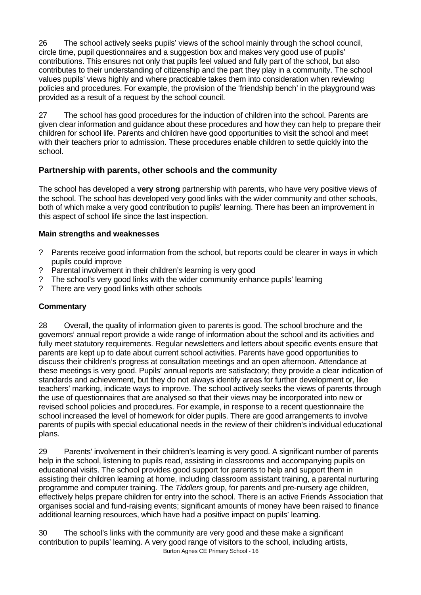26 The school actively seeks pupils' views of the school mainly through the school council, circle time, pupil questionnaires and a suggestion box and makes very good use of pupils' contributions. This ensures not only that pupils feel valued and fully part of the school, but also contributes to their understanding of citizenship and the part they play in a community. The school values pupils' views highly and where practicable takes them into consideration when reviewing policies and procedures. For example, the provision of the 'friendship bench' in the playground was provided as a result of a request by the school council.

27 The school has good procedures for the induction of children into the school. Parents are given clear information and guidance about these procedures and how they can help to prepare their children for school life. Parents and children have good opportunities to visit the school and meet with their teachers prior to admission. These procedures enable children to settle quickly into the school.

# **Partnership with parents, other schools and the community**

The school has developed a **very strong** partnership with parents, who have very positive views of the school. The school has developed very good links with the wider community and other schools, both of which make a very good contribution to pupils' learning. There has been an improvement in this aspect of school life since the last inspection.

# **Main strengths and weaknesses**

- ? Parents receive good information from the school, but reports could be clearer in ways in which pupils could improve
- ? Parental involvement in their children's learning is very good
- ? The school's very good links with the wider community enhance pupils' learning
- ? There are very good links with other schools

# **Commentary**

28 Overall, the quality of information given to parents is good. The school brochure and the governors' annual report provide a wide range of information about the school and its activities and fully meet statutory requirements. Regular newsletters and letters about specific events ensure that parents are kept up to date about current school activities. Parents have good opportunities to discuss their children's progress at consultation meetings and an open afternoon. Attendance at these meetings is very good. Pupils' annual reports are satisfactory; they provide a clear indication of standards and achievement, but they do not always identify areas for further development or, like teachers' marking, indicate ways to improve. The school actively seeks the views of parents through the use of questionnaires that are analysed so that their views may be incorporated into new or revised school policies and procedures. For example, in response to a recent questionnaire the school increased the level of homework for older pupils. There are good arrangements to involve parents of pupils with special educational needs in the review of their children's individual educational plans.

29 Parents' involvement in their children's learning is very good. A significant number of parents help in the school, listening to pupils read, assisting in classrooms and accompanying pupils on educational visits. The school provides good support for parents to help and support them in assisting their children learning at home, including classroom assistant training, a parental nurturing programme and computer training. The *Tiddlers* group, for parents and pre-nursery age children, effectively helps prepare children for entry into the school. There is an active Friends Association that organises social and fund-raising events; significant amounts of money have been raised to finance additional learning resources, which have had a positive impact on pupils' learning.

Burton Agnes CE Primary School - 16 30 The school's links with the community are very good and these make a significant contribution to pupils' learning. A very good range of visitors to the school, including artists,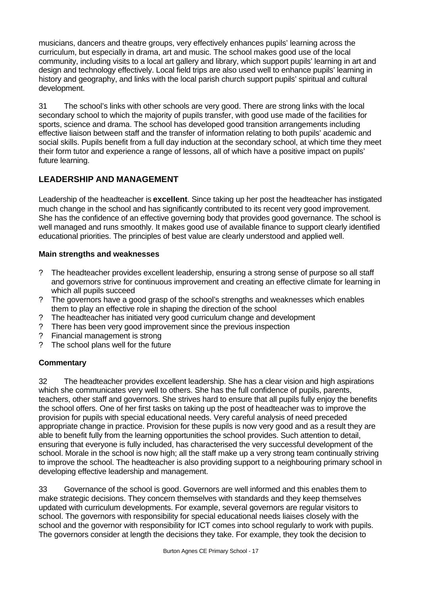musicians, dancers and theatre groups, very effectively enhances pupils' learning across the curriculum, but especially in drama, art and music. The school makes good use of the local community, including visits to a local art gallery and library, which support pupils' learning in art and design and technology effectively. Local field trips are also used well to enhance pupils' learning in history and geography, and links with the local parish church support pupils' spiritual and cultural development.

31 The school's links with other schools are very good. There are strong links with the local secondary school to which the majority of pupils transfer, with good use made of the facilities for sports, science and drama. The school has developed good transition arrangements including effective liaison between staff and the transfer of information relating to both pupils' academic and social skills. Pupils benefit from a full day induction at the secondary school, at which time they meet their form tutor and experience a range of lessons, all of which have a positive impact on pupils' future learning.

# **LEADERSHIP AND MANAGEMENT**

Leadership of the headteacher is **excellent**. Since taking up her post the headteacher has instigated much change in the school and has significantly contributed to its recent very good improvement. She has the confidence of an effective governing body that provides good governance. The school is well managed and runs smoothly. It makes good use of available finance to support clearly identified educational priorities. The principles of best value are clearly understood and applied well.

#### **Main strengths and weaknesses**

- ? The headteacher provides excellent leadership, ensuring a strong sense of purpose so all staff and governors strive for continuous improvement and creating an effective climate for learning in which all pupils succeed
- ? The governors have a good grasp of the school's strengths and weaknesses which enables them to play an effective role in shaping the direction of the school
- ? The headteacher has initiated very good curriculum change and development
- ? There has been very good improvement since the previous inspection
- ? Financial management is strong
- ? The school plans well for the future

# **Commentary**

32 The headteacher provides excellent leadership. She has a clear vision and high aspirations which she communicates very well to others. She has the full confidence of pupils, parents, teachers, other staff and governors. She strives hard to ensure that all pupils fully enjoy the benefits the school offers. One of her first tasks on taking up the post of headteacher was to improve the provision for pupils with special educational needs. Very careful analysis of need preceded appropriate change in practice. Provision for these pupils is now very good and as a result they are able to benefit fully from the learning opportunities the school provides. Such attention to detail, ensuring that everyone is fully included, has characterised the very successful development of the school. Morale in the school is now high; all the staff make up a very strong team continually striving to improve the school. The headteacher is also providing support to a neighbouring primary school in developing effective leadership and management.

33 Governance of the school is good. Governors are well informed and this enables them to make strategic decisions. They concern themselves with standards and they keep themselves updated with curriculum developments. For example, several governors are regular visitors to school. The governors with responsibility for special educational needs liaises closely with the school and the governor with responsibility for ICT comes into school regularly to work with pupils. The governors consider at length the decisions they take. For example, they took the decision to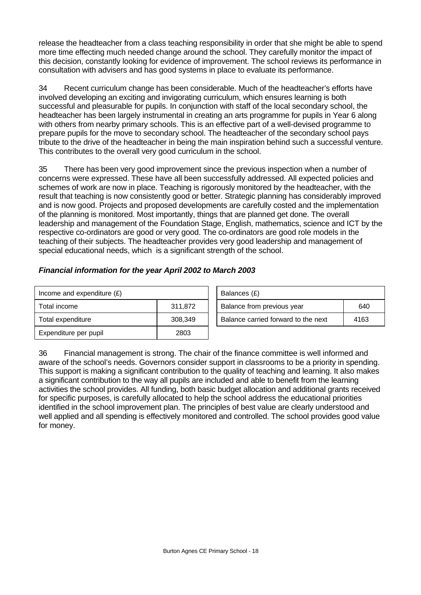release the headteacher from a class teaching responsibility in order that she might be able to spend more time effecting much needed change around the school. They carefully monitor the impact of this decision, constantly looking for evidence of improvement. The school reviews its performance in consultation with advisers and has good systems in place to evaluate its performance.

34 Recent curriculum change has been considerable. Much of the headteacher's efforts have involved developing an exciting and invigorating curriculum, which ensures learning is both successful and pleasurable for pupils. In conjunction with staff of the local secondary school, the headteacher has been largely instrumental in creating an arts programme for pupils in Year 6 along with others from nearby primary schools. This is an effective part of a well-devised programme to prepare pupils for the move to secondary school. The headteacher of the secondary school pays tribute to the drive of the headteacher in being the main inspiration behind such a successful venture. This contributes to the overall very good curriculum in the school.

35 There has been very good improvement since the previous inspection when a number of concerns were expressed. These have all been successfully addressed. All expected policies and schemes of work are now in place. Teaching is rigorously monitored by the headteacher, with the result that teaching is now consistently good or better. Strategic planning has considerably improved and is now good. Projects and proposed developments are carefully costed and the implementation of the planning is monitored. Most importantly, things that are planned get done. The overall leadership and management of the Foundation Stage, English, mathematics, science and ICT by the respective co-ordinators are good or very good. The co-ordinators are good role models in the teaching of their subjects. The headteacher provides very good leadership and management of special educational needs, which is a significant strength of the school.

# *Financial information for the year April 2002 to March 2003*

| Income and expenditure $(E)$ |         | Balances (£) |                                     |      |
|------------------------------|---------|--------------|-------------------------------------|------|
| Total income                 | 311,872 |              | Balance from previous year          | 640  |
| Total expenditure            | 308.349 |              | Balance carried forward to the next | 4163 |
| Expenditure per pupil        | 2803    |              |                                     |      |

| Balances (£)                        |      |
|-------------------------------------|------|
| Balance from previous year          | 640  |
| Balance carried forward to the next | 4163 |

36 Financial management is strong. The chair of the finance committee is well informed and aware of the school's needs. Governors consider support in classrooms to be a priority in spending. This support is making a significant contribution to the quality of teaching and learning. It also makes a significant contribution to the way all pupils are included and able to benefit from the learning activities the school provides. All funding, both basic budget allocation and additional grants received for specific purposes, is carefully allocated to help the school address the educational priorities identified in the school improvement plan. The principles of best value are clearly understood and well applied and all spending is effectively monitored and controlled. The school provides good value for money.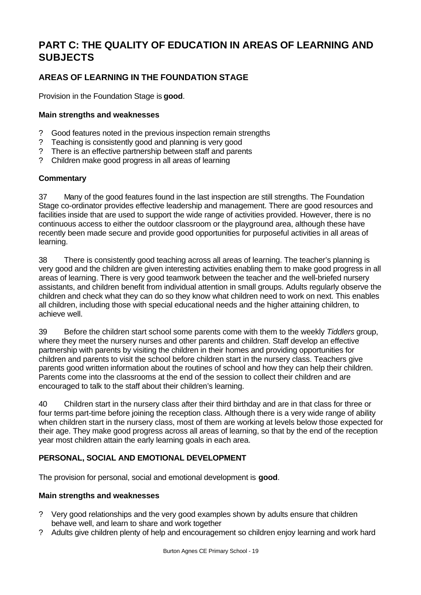# **PART C: THE QUALITY OF EDUCATION IN AREAS OF LEARNING AND SUBJECTS**

# **AREAS OF LEARNING IN THE FOUNDATION STAGE**

Provision in the Foundation Stage is **good**.

#### **Main strengths and weaknesses**

- ? Good features noted in the previous inspection remain strengths
- ? Teaching is consistently good and planning is very good
- ? There is an effective partnership between staff and parents
- ? Children make good progress in all areas of learning

#### **Commentary**

37 Many of the good features found in the last inspection are still strengths. The Foundation Stage co-ordinator provides effective leadership and management. There are good resources and facilities inside that are used to support the wide range of activities provided. However, there is no continuous access to either the outdoor classroom or the playground area, although these have recently been made secure and provide good opportunities for purposeful activities in all areas of learning.

38 There is consistently good teaching across all areas of learning. The teacher's planning is very good and the children are given interesting activities enabling them to make good progress in all areas of learning. There is very good teamwork between the teacher and the well-briefed nursery assistants, and children benefit from individual attention in small groups. Adults regularly observe the children and check what they can do so they know what children need to work on next. This enables all children, including those with special educational needs and the higher attaining children, to achieve well.

39 Before the children start school some parents come with them to the weekly *Tiddlers* group, where they meet the nursery nurses and other parents and children. Staff develop an effective partnership with parents by visiting the children in their homes and providing opportunities for children and parents to visit the school before children start in the nursery class. Teachers give parents good written information about the routines of school and how they can help their children. Parents come into the classrooms at the end of the session to collect their children and are encouraged to talk to the staff about their children's learning.

40 Children start in the nursery class after their third birthday and are in that class for three or four terms part-time before joining the reception class. Although there is a very wide range of ability when children start in the nursery class, most of them are working at levels below those expected for their age. They make good progress across all areas of learning, so that by the end of the reception year most children attain the early learning goals in each area.

#### **PERSONAL, SOCIAL AND EMOTIONAL DEVELOPMENT**

The provision for personal, social and emotional development is **good**.

#### **Main strengths and weaknesses**

- ? Very good relationships and the very good examples shown by adults ensure that children behave well, and learn to share and work together
- ? Adults give children plenty of help and encouragement so children enjoy learning and work hard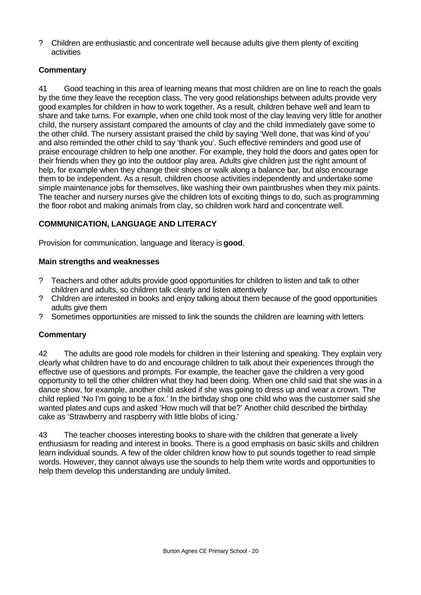? Children are enthusiastic and concentrate well because adults give them plenty of exciting activities

# **Commentary**

41 Good teaching in this area of learning means that most children are on line to reach the goals by the time they leave the reception class. The very good relationships between adults provide very good examples for children in how to work together. As a result, children behave well and learn to share and take turns. For example, when one child took most of the clay leaving very little for another child, the nursery assistant compared the amounts of clay and the child immediately gave some to the other child. The nursery assistant praised the child by saying 'Well done, that was kind of you' and also reminded the other child to say 'thank you'. Such effective reminders and good use of praise encourage children to help one another. For example, they hold the doors and gates open for their friends when they go into the outdoor play area. Adults give children just the right amount of help, for example when they change their shoes or walk along a balance bar, but also encourage them to be independent. As a result, children choose activities independently and undertake some simple maintenance jobs for themselves, like washing their own paintbrushes when they mix paints. The teacher and nursery nurses give the children lots of exciting things to do, such as programming the floor robot and making animals from clay, so children work hard and concentrate well.

# **COMMUNICATION, LANGUAGE AND LITERACY**

Provision for communication, language and literacy is **good**.

#### **Main strengths and weaknesses**

- ? Teachers and other adults provide good opportunities for children to listen and talk to other children and adults, so children talk clearly and listen attentively
- ? Children are interested in books and enjoy talking about them because of the good opportunities adults give them
- ? Sometimes opportunities are missed to link the sounds the children are learning with letters

#### **Commentary**

42 The adults are good role models for children in their listening and speaking. They explain very clearly what children have to do and encourage children to talk about their experiences through the effective use of questions and prompts. For example, the teacher gave the children a very good opportunity to tell the other children what they had been doing. When one child said that she was in a dance show, for example, another child asked if she was going to dress up and wear a crown. The child replied 'No I'm going to be a fox.' In the birthday shop one child who was the customer said she wanted plates and cups and asked 'How much will that be?' Another child described the birthday cake as 'Strawberry and raspberry with little blobs of icing.'

43 The teacher chooses interesting books to share with the children that generate a lively enthusiasm for reading and interest in books. There is a good emphasis on basic skills and children learn individual sounds. A few of the older children know how to put sounds together to read simple words. However, they cannot always use the sounds to help them write words and opportunities to help them develop this understanding are unduly limited.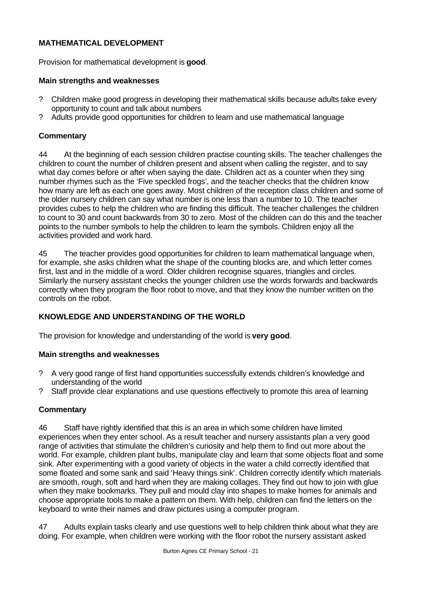# **MATHEMATICAL DEVELOPMENT**

Provision for mathematical development is **good**.

#### **Main strengths and weaknesses**

- ? Children make good progress in developing their mathematical skills because adults take every opportunity to count and talk about numbers
- ? Adults provide good opportunities for children to learn and use mathematical language

#### **Commentary**

44 At the beginning of each session children practise counting skills. The teacher challenges the children to count the number of children present and absent when calling the register, and to say what day comes before or after when saying the date. Children act as a counter when they sing number rhymes such as the 'Five speckled frogs', and the teacher checks that the children know how many are left as each one goes away. Most children of the reception class children and some of the older nursery children can say what number is one less than a number to 10. The teacher provides cubes to help the children who are finding this difficult. The teacher challenges the children to count to 30 and count backwards from 30 to zero. Most of the children can do this and the teacher points to the number symbols to help the children to learn the symbols. Children enjoy all the activities provided and work hard.

45 The teacher provides good opportunities for children to learn mathematical language when, for example, she asks children what the shape of the counting blocks are, and which letter comes first, last and in the middle of a word. Older children recognise squares, triangles and circles. Similarly the nursery assistant checks the younger children use the words forwards and backwards correctly when they program the floor robot to move, and that they know the number written on the controls on the robot.

# **KNOWLEDGE AND UNDERSTANDING OF THE WORLD**

The provision for knowledge and understanding of the world is **very good**.

#### **Main strengths and weaknesses**

- ? A very good range of first hand opportunities successfully extends children's knowledge and understanding of the world
- ? Staff provide clear explanations and use questions effectively to promote this area of learning

#### **Commentary**

46 Staff have rightly identified that this is an area in which some children have limited experiences when they enter school. As a result teacher and nursery assistants plan a very good range of activities that stimulate the children's curiosity and help them to find out more about the world. For example, children plant bulbs, manipulate clay and learn that some objects float and some sink. After experimenting with a good variety of objects in the water a child correctly identified that some floated and some sank and said 'Heavy things sink'. Children correctly identify which materials are smooth, rough, soft and hard when they are making collages. They find out how to join with glue when they make bookmarks. They pull and mould clay into shapes to make homes for animals and choose appropriate tools to make a pattern on them. With help, children can find the letters on the keyboard to write their names and draw pictures using a computer program.

47 Adults explain tasks clearly and use questions well to help children think about what they are doing. For example, when children were working with the floor robot the nursery assistant asked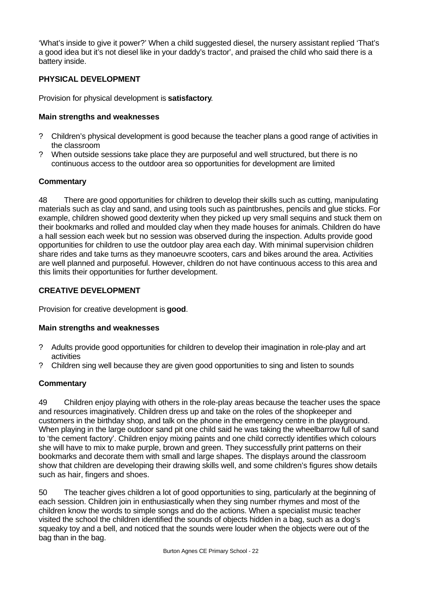'What's inside to give it power?' When a child suggested diesel, the nursery assistant replied 'That's a good idea but it's not diesel like in your daddy's tractor', and praised the child who said there is a battery inside.

## **PHYSICAL DEVELOPMENT**

Provision for physical development is **satisfactory**.

#### **Main strengths and weaknesses**

- ? Children's physical development is good because the teacher plans a good range of activities in the classroom
- ? When outside sessions take place they are purposeful and well structured, but there is no continuous access to the outdoor area so opportunities for development are limited

#### **Commentary**

48 There are good opportunities for children to develop their skills such as cutting, manipulating materials such as clay and sand, and using tools such as paintbrushes, pencils and glue sticks. For example, children showed good dexterity when they picked up very small sequins and stuck them on their bookmarks and rolled and moulded clay when they made houses for animals. Children do have a hall session each week but no session was observed during the inspection. Adults provide good opportunities for children to use the outdoor play area each day. With minimal supervision children share rides and take turns as they manoeuvre scooters, cars and bikes around the area. Activities are well planned and purposeful. However, children do not have continuous access to this area and this limits their opportunities for further development.

#### **CREATIVE DEVELOPMENT**

Provision for creative development is **good**.

#### **Main strengths and weaknesses**

- ? Adults provide good opportunities for children to develop their imagination in role-play and art activities
- ? Children sing well because they are given good opportunities to sing and listen to sounds

#### **Commentary**

49 Children enjoy playing with others in the role-play areas because the teacher uses the space and resources imaginatively. Children dress up and take on the roles of the shopkeeper and customers in the birthday shop, and talk on the phone in the emergency centre in the playground. When playing in the large outdoor sand pit one child said he was taking the wheelbarrow full of sand to 'the cement factory'. Children enjoy mixing paints and one child correctly identifies which colours she will have to mix to make purple, brown and green. They successfully print patterns on their bookmarks and decorate them with small and large shapes. The displays around the classroom show that children are developing their drawing skills well, and some children's figures show details such as hair, fingers and shoes.

50 The teacher gives children a lot of good opportunities to sing, particularly at the beginning of each session. Children join in enthusiastically when they sing number rhymes and most of the children know the words to simple songs and do the actions. When a specialist music teacher visited the school the children identified the sounds of objects hidden in a bag, such as a dog's squeaky toy and a bell, and noticed that the sounds were louder when the objects were out of the bag than in the bag.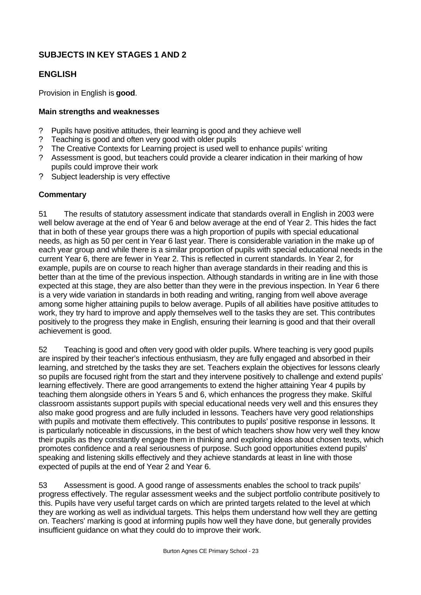# **SUBJECTS IN KEY STAGES 1 AND 2**

# **ENGLISH**

Provision in English is **good**.

#### **Main strengths and weaknesses**

- ? Pupils have positive attitudes, their learning is good and they achieve well
- ? Teaching is good and often very good with older pupils
- ? The Creative Contexts for Learning project is used well to enhance pupils' writing
- ? Assessment is good, but teachers could provide a clearer indication in their marking of how pupils could improve their work
- ? Subject leadership is very effective

# **Commentary**

51 The results of statutory assessment indicate that standards overall in English in 2003 were well below average at the end of Year 6 and below average at the end of Year 2. This hides the fact that in both of these year groups there was a high proportion of pupils with special educational needs, as high as 50 per cent in Year 6 last year. There is considerable variation in the make up of each year group and while there is a similar proportion of pupils with special educational needs in the current Year 6, there are fewer in Year 2. This is reflected in current standards. In Year 2, for example, pupils are on course to reach higher than average standards in their reading and this is better than at the time of the previous inspection. Although standards in writing are in line with those expected at this stage, they are also better than they were in the previous inspection. In Year 6 there is a very wide variation in standards in both reading and writing, ranging from well above average among some higher attaining pupils to below average. Pupils of all abilities have positive attitudes to work, they try hard to improve and apply themselves well to the tasks they are set. This contributes positively to the progress they make in English, ensuring their learning is good and that their overall achievement is good.

52 Teaching is good and often very good with older pupils. Where teaching is very good pupils are inspired by their teacher's infectious enthusiasm, they are fully engaged and absorbed in their learning, and stretched by the tasks they are set. Teachers explain the objectives for lessons clearly so pupils are focused right from the start and they intervene positively to challenge and extend pupils' learning effectively. There are good arrangements to extend the higher attaining Year 4 pupils by teaching them alongside others in Years 5 and 6, which enhances the progress they make. Skilful classroom assistants support pupils with special educational needs very well and this ensures they also make good progress and are fully included in lessons. Teachers have very good relationships with pupils and motivate them effectively. This contributes to pupils' positive response in lessons. It is particularly noticeable in discussions, in the best of which teachers show how very well they know their pupils as they constantly engage them in thinking and exploring ideas about chosen texts, which promotes confidence and a real seriousness of purpose. Such good opportunities extend pupils' speaking and listening skills effectively and they achieve standards at least in line with those expected of pupils at the end of Year 2 and Year 6.

53 Assessment is good. A good range of assessments enables the school to track pupils' progress effectively. The regular assessment weeks and the subject portfolio contribute positively to this. Pupils have very useful target cards on which are printed targets related to the level at which they are working as well as individual targets. This helps them understand how well they are getting on. Teachers' marking is good at informing pupils how well they have done, but generally provides insufficient guidance on what they could do to improve their work.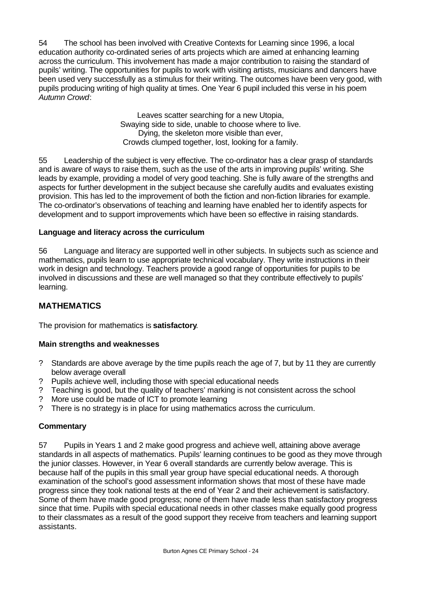54 The school has been involved with Creative Contexts for Learning since 1996, a local education authority co-ordinated series of arts projects which are aimed at enhancing learning across the curriculum. This involvement has made a major contribution to raising the standard of pupils' writing. The opportunities for pupils to work with visiting artists, musicians and dancers have been used very successfully as a stimulus for their writing. The outcomes have been very good, with pupils producing writing of high quality at times. One Year 6 pupil included this verse in his poem *Autumn Crowd*:

> Leaves scatter searching for a new Utopia, Swaying side to side, unable to choose where to live. Dying, the skeleton more visible than ever, Crowds clumped together, lost, looking for a family.

55 Leadership of the subject is very effective. The co-ordinator has a clear grasp of standards and is aware of ways to raise them, such as the use of the arts in improving pupils' writing. She leads by example, providing a model of very good teaching. She is fully aware of the strengths and aspects for further development in the subject because she carefully audits and evaluates existing provision. This has led to the improvement of both the fiction and non-fiction libraries for example. The co-ordinator's observations of teaching and learning have enabled her to identify aspects for development and to support improvements which have been so effective in raising standards.

#### **Language and literacy across the curriculum**

56 Language and literacy are supported well in other subjects. In subjects such as science and mathematics, pupils learn to use appropriate technical vocabulary. They write instructions in their work in design and technology. Teachers provide a good range of opportunities for pupils to be involved in discussions and these are well managed so that they contribute effectively to pupils' learning.

# **MATHEMATICS**

The provision for mathematics is **satisfactory**.

#### **Main strengths and weaknesses**

- ? Standards are above average by the time pupils reach the age of 7, but by 11 they are currently below average overall
- ? Pupils achieve well, including those with special educational needs
- ? Teaching is good, but the quality of teachers' marking is not consistent across the school
- ? More use could be made of ICT to promote learning
- ? There is no strategy is in place for using mathematics across the curriculum.

#### **Commentary**

57 Pupils in Years 1 and 2 make good progress and achieve well, attaining above average standards in all aspects of mathematics. Pupils' learning continues to be good as they move through the junior classes. However, in Year 6 overall standards are currently below average. This is because half of the pupils in this small year group have special educational needs. A thorough examination of the school's good assessment information shows that most of these have made progress since they took national tests at the end of Year 2 and their achievement is satisfactory. Some of them have made good progress; none of them have made less than satisfactory progress since that time. Pupils with special educational needs in other classes make equally good progress to their classmates as a result of the good support they receive from teachers and learning support assistants.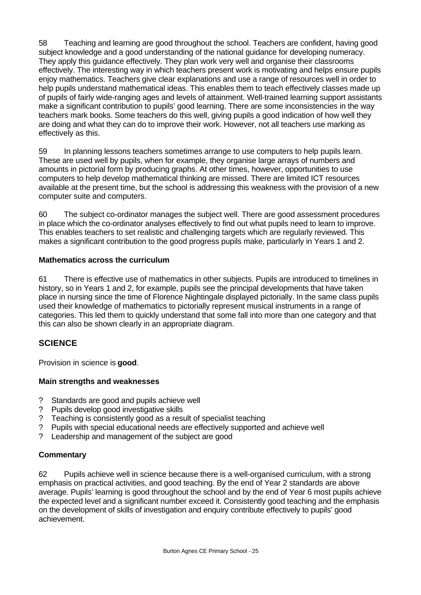58 Teaching and learning are good throughout the school. Teachers are confident, having good subject knowledge and a good understanding of the national guidance for developing numeracy. They apply this guidance effectively. They plan work very well and organise their classrooms effectively. The interesting way in which teachers present work is motivating and helps ensure pupils enjoy mathematics. Teachers give clear explanations and use a range of resources well in order to help pupils understand mathematical ideas. This enables them to teach effectively classes made up of pupils of fairly wide-ranging ages and levels of attainment. Well-trained learning support assistants make a significant contribution to pupils' good learning. There are some inconsistencies in the way teachers mark books. Some teachers do this well, giving pupils a good indication of how well they are doing and what they can do to improve their work. However, not all teachers use marking as effectively as this.

59 In planning lessons teachers sometimes arrange to use computers to help pupils learn. These are used well by pupils, when for example, they organise large arrays of numbers and amounts in pictorial form by producing graphs. At other times, however, opportunities to use computers to help develop mathematical thinking are missed. There are limited ICT resources available at the present time, but the school is addressing this weakness with the provision of a new computer suite and computers.

60 The subject co-ordinator manages the subject well. There are good assessment procedures in place which the co-ordinator analyses effectively to find out what pupils need to learn to improve. This enables teachers to set realistic and challenging targets which are regularly reviewed. This makes a significant contribution to the good progress pupils make, particularly in Years 1 and 2.

#### **Mathematics across the curriculum**

61 There is effective use of mathematics in other subjects. Pupils are introduced to timelines in history, so in Years 1 and 2, for example, pupils see the principal developments that have taken place in nursing since the time of Florence Nightingale displayed pictorially. In the same class pupils used their knowledge of mathematics to pictorially represent musical instruments in a range of categories. This led them to quickly understand that some fall into more than one category and that this can also be shown clearly in an appropriate diagram.

# **SCIENCE**

Provision in science is **good**.

#### **Main strengths and weaknesses**

- ? Standards are good and pupils achieve well
- ? Pupils develop good investigative skills
- ? Teaching is consistently good as a result of specialist teaching
- ? Pupils with special educational needs are effectively supported and achieve well
- ? Leadership and management of the subject are good

#### **Commentary**

62 Pupils achieve well in science because there is a well-organised curriculum, with a strong emphasis on practical activities, and good teaching. By the end of Year 2 standards are above average. Pupils' learning is good throughout the school and by the end of Year 6 most pupils achieve the expected level and a significant number exceed it. Consistently good teaching and the emphasis on the development of skills of investigation and enquiry contribute effectively to pupils' good achievement.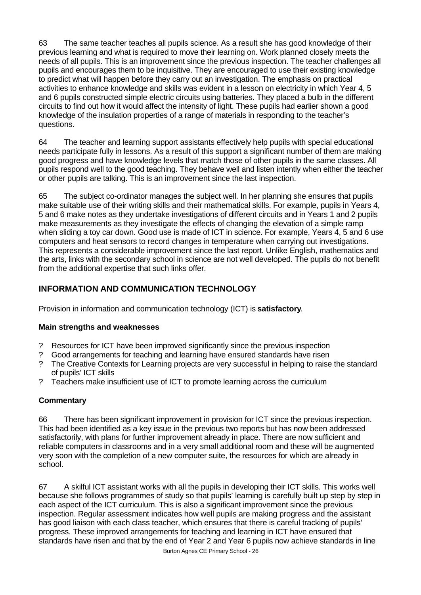63 The same teacher teaches all pupils science. As a result she has good knowledge of their previous learning and what is required to move their learning on. Work planned closely meets the needs of all pupils. This is an improvement since the previous inspection. The teacher challenges all pupils and encourages them to be inquisitive. They are encouraged to use their existing knowledge to predict what will happen before they carry out an investigation. The emphasis on practical activities to enhance knowledge and skills was evident in a lesson on electricity in which Year 4, 5 and 6 pupils constructed simple electric circuits using batteries. They placed a bulb in the different circuits to find out how it would affect the intensity of light. These pupils had earlier shown a good knowledge of the insulation properties of a range of materials in responding to the teacher's questions.

64 The teacher and learning support assistants effectively help pupils with special educational needs participate fully in lessons. As a result of this support a significant number of them are making good progress and have knowledge levels that match those of other pupils in the same classes. All pupils respond well to the good teaching. They behave well and listen intently when either the teacher or other pupils are talking. This is an improvement since the last inspection.

65 The subject co-ordinator manages the subject well. In her planning she ensures that pupils make suitable use of their writing skills and their mathematical skills. For example, pupils in Years 4, 5 and 6 make notes as they undertake investigations of different circuits and in Years 1 and 2 pupils make measurements as they investigate the effects of changing the elevation of a simple ramp when sliding a toy car down. Good use is made of ICT in science. For example, Years 4, 5 and 6 use computers and heat sensors to record changes in temperature when carrying out investigations. This represents a considerable improvement since the last report. Unlike English, mathematics and the arts, links with the secondary school in science are not well developed. The pupils do not benefit from the additional expertise that such links offer.

# **INFORMATION AND COMMUNICATION TECHNOLOGY**

Provision in information and communication technology (ICT) is **satisfactory**.

#### **Main strengths and weaknesses**

- ? Resources for ICT have been improved significantly since the previous inspection
- ? Good arrangements for teaching and learning have ensured standards have risen
- ? The Creative Contexts for Learning projects are very successful in helping to raise the standard of pupils' ICT skills
- ? Teachers make insufficient use of ICT to promote learning across the curriculum

#### **Commentary**

66 There has been significant improvement in provision for ICT since the previous inspection. This had been identified as a key issue in the previous two reports but has now been addressed satisfactorily, with plans for further improvement already in place. There are now sufficient and reliable computers in classrooms and in a very small additional room and these will be augmented very soon with the completion of a new computer suite, the resources for which are already in school.

67 A skilful ICT assistant works with all the pupils in developing their ICT skills. This works well because she follows programmes of study so that pupils' learning is carefully built up step by step in each aspect of the ICT curriculum. This is also a significant improvement since the previous inspection. Regular assessment indicates how well pupils are making progress and the assistant has good liaison with each class teacher, which ensures that there is careful tracking of pupils' progress. These improved arrangements for teaching and learning in ICT have ensured that standards have risen and that by the end of Year 2 and Year 6 pupils now achieve standards in line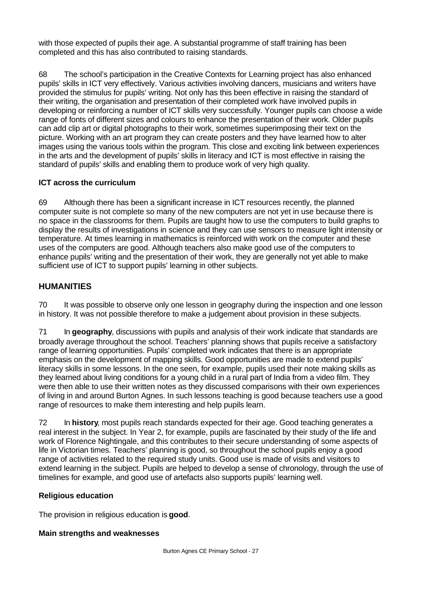with those expected of pupils their age. A substantial programme of staff training has been completed and this has also contributed to raising standards.

68 The school's participation in the Creative Contexts for Learning project has also enhanced pupils' skills in ICT very effectively. Various activities involving dancers, musicians and writers have provided the stimulus for pupils' writing. Not only has this been effective in raising the standard of their writing, the organisation and presentation of their completed work have involved pupils in developing or reinforcing a number of ICT skills very successfully. Younger pupils can choose a wide range of fonts of different sizes and colours to enhance the presentation of their work. Older pupils can add clip art or digital photographs to their work, sometimes superimposing their text on the picture. Working with an art program they can create posters and they have learned how to alter images using the various tools within the program. This close and exciting link between experiences in the arts and the development of pupils' skills in literacy and ICT is most effective in raising the standard of pupils' skills and enabling them to produce work of very high quality.

#### **ICT across the curriculum**

69 Although there has been a significant increase in ICT resources recently, the planned computer suite is not complete so many of the new computers are not yet in use because there is no space in the classrooms for them. Pupils are taught how to use the computers to build graphs to display the results of investigations in science and they can use sensors to measure light intensity or temperature. At times learning in mathematics is reinforced with work on the computer and these uses of the computers are good. Although teachers also make good use of the computers to enhance pupils' writing and the presentation of their work, they are generally not yet able to make sufficient use of ICT to support pupils' learning in other subjects.

# **HUMANITIES**

70 It was possible to observe only one lesson in geography during the inspection and one lesson in history. It was not possible therefore to make a judgement about provision in these subjects.

71 In **geography**, discussions with pupils and analysis of their work indicate that standards are broadly average throughout the school. Teachers' planning shows that pupils receive a satisfactory range of learning opportunities. Pupils' completed work indicates that there is an appropriate emphasis on the development of mapping skills. Good opportunities are made to extend pupils' literacy skills in some lessons. In the one seen, for example, pupils used their note making skills as they learned about living conditions for a young child in a rural part of India from a video film. They were then able to use their written notes as they discussed comparisons with their own experiences of living in and around Burton Agnes. In such lessons teaching is good because teachers use a good range of resources to make them interesting and help pupils learn.

72 In **history**, most pupils reach standards expected for their age. Good teaching generates a real interest in the subject. In Year 2, for example, pupils are fascinated by their study of the life and work of Florence Nightingale, and this contributes to their secure understanding of some aspects of life in Victorian times. Teachers' planning is good, so throughout the school pupils enjoy a good range of activities related to the required study units. Good use is made of visits and visitors to extend learning in the subject. Pupils are helped to develop a sense of chronology, through the use of timelines for example, and good use of artefacts also supports pupils' learning well.

#### **Religious education**

The provision in religious education is **good**.

#### **Main strengths and weaknesses**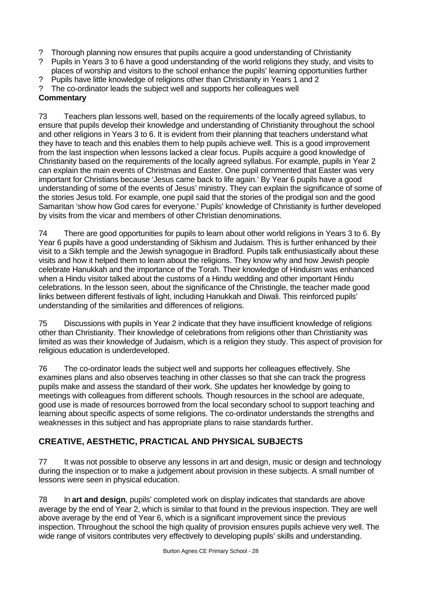- ? Thorough planning now ensures that pupils acquire a good understanding of Christianity
- ? Pupils in Years 3 to 6 have a good understanding of the world religions they study, and visits to places of worship and visitors to the school enhance the pupils' learning opportunities further
- ? Pupils have little knowledge of religions other than Christianity in Years 1 and 2
- ? The co-ordinator leads the subject well and supports her colleagues well

# **Commentary**

73 Teachers plan lessons well, based on the requirements of the locally agreed syllabus, to ensure that pupils develop their knowledge and understanding of Christianity throughout the school and other religions in Years 3 to 6. It is evident from their planning that teachers understand what they have to teach and this enables them to help pupils achieve well. This is a good improvement from the last inspection when lessons lacked a clear focus. Pupils acquire a good knowledge of Christianity based on the requirements of the locally agreed syllabus. For example, pupils in Year 2 can explain the main events of Christmas and Easter. One pupil commented that Easter was very important for Christians because 'Jesus came back to life again.' By Year 6 pupils have a good understanding of some of the events of Jesus' ministry. They can explain the significance of some of the stories Jesus told. For example, one pupil said that the stories of the prodigal son and the good Samaritan 'show how God cares for everyone.' Pupils' knowledge of Christianity is further developed by visits from the vicar and members of other Christian denominations.

74 There are good opportunities for pupils to learn about other world religions in Years 3 to 6. By Year 6 pupils have a good understanding of Sikhism and Judaism. This is further enhanced by their visit to a Sikh temple and the Jewish synagogue in Bradford. Pupils talk enthusiastically about these visits and how it helped them to learn about the religions. They know why and how Jewish people celebrate Hanukkah and the importance of the Torah. Their knowledge of Hinduism was enhanced when a Hindu visitor talked about the customs of a Hindu wedding and other important Hindu celebrations. In the lesson seen, about the significance of the Christingle, the teacher made good links between different festivals of light, including Hanukkah and Diwali. This reinforced pupils' understanding of the similarities and differences of religions.

75 Discussions with pupils in Year 2 indicate that they have insufficient knowledge of religions other than Christianity. Their knowledge of celebrations from religions other than Christianity was limited as was their knowledge of Judaism, which is a religion they study. This aspect of provision for religious education is underdeveloped.

76 The co-ordinator leads the subject well and supports her colleagues effectively. She examines plans and also observes teaching in other classes so that she can track the progress pupils make and assess the standard of their work. She updates her knowledge by going to meetings with colleagues from different schools. Though resources in the school are adequate, good use is made of resources borrowed from the local secondary school to support teaching and learning about specific aspects of some religions. The co-ordinator understands the strengths and weaknesses in this subject and has appropriate plans to raise standards further.

# **CREATIVE, AESTHETIC, PRACTICAL AND PHYSICAL SUBJECTS**

77 It was not possible to observe any lessons in art and design, music or design and technology during the inspection or to make a judgement about provision in these subjects. A small number of lessons were seen in physical education.

78 In **art and design**, pupils' completed work on display indicates that standards are above average by the end of Year 2, which is similar to that found in the previous inspection. They are well above average by the end of Year 6, which is a significant improvement since the previous inspection. Throughout the school the high quality of provision ensures pupils achieve very well. The wide range of visitors contributes very effectively to developing pupils' skills and understanding.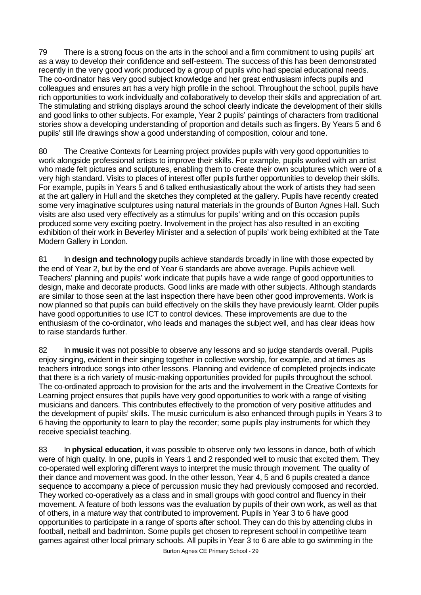79 There is a strong focus on the arts in the school and a firm commitment to using pupils' art as a way to develop their confidence and self-esteem. The success of this has been demonstrated recently in the very good work produced by a group of pupils who had special educational needs. The co-ordinator has very good subject knowledge and her great enthusiasm infects pupils and colleagues and ensures art has a very high profile in the school. Throughout the school, pupils have rich opportunities to work individually and collaboratively to develop their skills and appreciation of art. The stimulating and striking displays around the school clearly indicate the development of their skills and good links to other subjects. For example, Year 2 pupils' paintings of characters from traditional stories show a developing understanding of proportion and details such as fingers. By Years 5 and 6 pupils' still life drawings show a good understanding of composition, colour and tone.

80 The Creative Contexts for Learning project provides pupils with very good opportunities to work alongside professional artists to improve their skills. For example, pupils worked with an artist who made felt pictures and sculptures, enabling them to create their own sculptures which were of a very high standard. Visits to places of interest offer pupils further opportunities to develop their skills. For example, pupils in Years 5 and 6 talked enthusiastically about the work of artists they had seen at the art gallery in Hull and the sketches they completed at the gallery. Pupils have recently created some very imaginative sculptures using natural materials in the grounds of Burton Agnes Hall. Such visits are also used very effectively as a stimulus for pupils' writing and on this occasion pupils produced some very exciting poetry. Involvement in the project has also resulted in an exciting exhibition of their work in Beverley Minister and a selection of pupils' work being exhibited at the Tate Modern Gallery in London.

81 In **design and technology** pupils achieve standards broadly in line with those expected by the end of Year 2, but by the end of Year 6 standards are above average. Pupils achieve well. Teachers' planning and pupils' work indicate that pupils have a wide range of good opportunities to design, make and decorate products. Good links are made with other subjects. Although standards are similar to those seen at the last inspection there have been other good improvements. Work is now planned so that pupils can build effectively on the skills they have previously learnt. Older pupils have good opportunities to use ICT to control devices. These improvements are due to the enthusiasm of the co-ordinator, who leads and manages the subject well, and has clear ideas how to raise standards further.

82 In **music** it was not possible to observe any lessons and so judge standards overall. Pupils enjoy singing, evident in their singing together in collective worship, for example, and at times as teachers introduce songs into other lessons. Planning and evidence of completed projects indicate that there is a rich variety of music-making opportunities provided for pupils throughout the school. The co-ordinated approach to provision for the arts and the involvement in the Creative Contexts for Learning project ensures that pupils have very good opportunities to work with a range of visiting musicians and dancers. This contributes effectively to the promotion of very positive attitudes and the development of pupils' skills. The music curriculum is also enhanced through pupils in Years 3 to 6 having the opportunity to learn to play the recorder; some pupils play instruments for which they receive specialist teaching.

83 In **physical education**, it was possible to observe only two lessons in dance, both of which were of high quality. In one, pupils in Years 1 and 2 responded well to music that excited them. They co-operated well exploring different ways to interpret the music through movement. The quality of their dance and movement was good. In the other lesson, Year 4, 5 and 6 pupils created a dance sequence to accompany a piece of percussion music they had previously composed and recorded. They worked co-operatively as a class and in small groups with good control and fluency in their movement. A feature of both lessons was the evaluation by pupils of their own work, as well as that of others, in a mature way that contributed to improvement. Pupils in Year 3 to 6 have good opportunities to participate in a range of sports after school. They can do this by attending clubs in football, netball and badminton. Some pupils get chosen to represent school in competitive team games against other local primary schools. All pupils in Year 3 to 6 are able to go swimming in the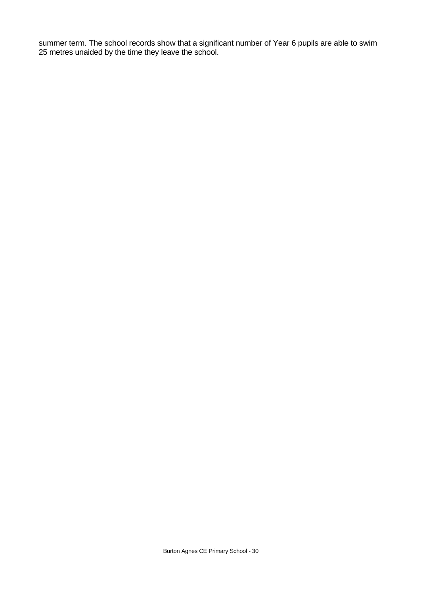summer term. The school records show that a significant number of Year 6 pupils are able to swim 25 metres unaided by the time they leave the school.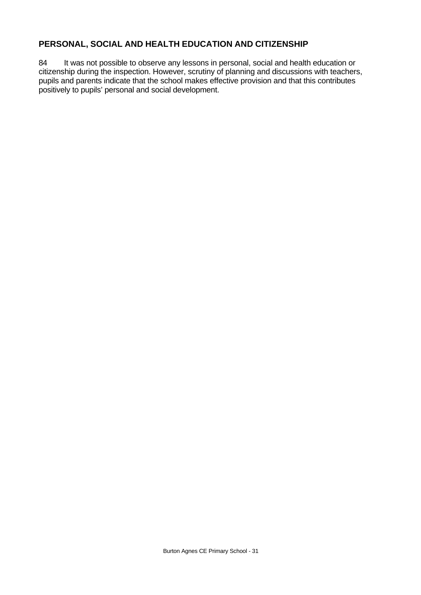# **PERSONAL, SOCIAL AND HEALTH EDUCATION AND CITIZENSHIP**

84 It was not possible to observe any lessons in personal, social and health education or citizenship during the inspection. However, scrutiny of planning and discussions with teachers, pupils and parents indicate that the school makes effective provision and that this contributes positively to pupils' personal and social development.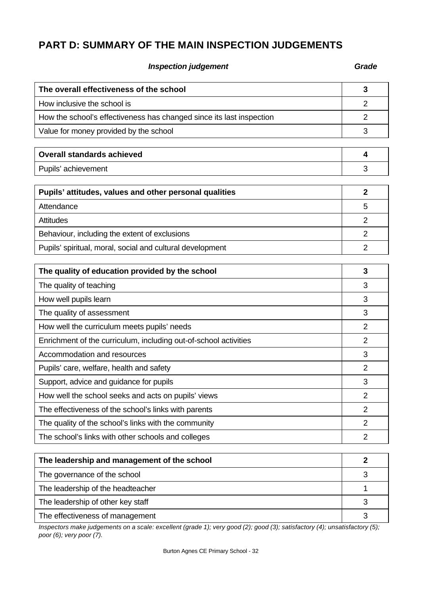# **PART D: SUMMARY OF THE MAIN INSPECTION JUDGEMENTS**

# **Inspection judgement Grade**

L

| The overall effectiveness of the school                              | 3              |
|----------------------------------------------------------------------|----------------|
| How inclusive the school is                                          | $\overline{2}$ |
| How the school's effectiveness has changed since its last inspection | $\overline{2}$ |
| Value for money provided by the school                               | 3              |
|                                                                      |                |
| <b>Overall standards achieved</b>                                    | 4              |
| Pupils' achievement                                                  | 3              |
| Pupils' attitudes, values and other personal qualities               | $\mathbf{2}$   |
| Attendance                                                           | 5              |
| <b>Attitudes</b>                                                     | $\overline{2}$ |
| Behaviour, including the extent of exclusions                        | $\overline{2}$ |
| Pupils' spiritual, moral, social and cultural development            | $\overline{2}$ |
|                                                                      |                |
| The quality of education provided by the school                      | $\overline{3}$ |
| The quality of teaching                                              | 3              |
| How well pupils learn                                                | 3              |
| The quality of assessment                                            | 3              |
| How well the curriculum meets pupils' needs                          | $\overline{2}$ |
| Enrichment of the curriculum, including out-of-school activities     | $\overline{2}$ |
| Accommodation and resources                                          | 3              |
| Pupils' care, welfare, health and safety                             | $\overline{2}$ |
| Support, advice and guidance for pupils                              | 3              |
| How well the school seeks and acts on pupils' views                  | $\overline{2}$ |
| The effectiveness of the school's links with parents                 | $\overline{2}$ |
| The quality of the school's links with the community                 | $\overline{2}$ |
| The school's links with other schools and colleges                   | $\overline{2}$ |
| The leadership and management of the school                          | $\mathbf{2}$   |
|                                                                      |                |
| The governance of the school                                         | 3              |
| The leadership of the headteacher                                    | 1              |
| The leadership of other key staff                                    | 3              |
| The effectiveness of management                                      | 3              |

*Inspectors make judgements on a scale: excellent (grade 1); very good (2); good (3); satisfactory (4); unsatisfactory (5); poor (6); very poor (7).*